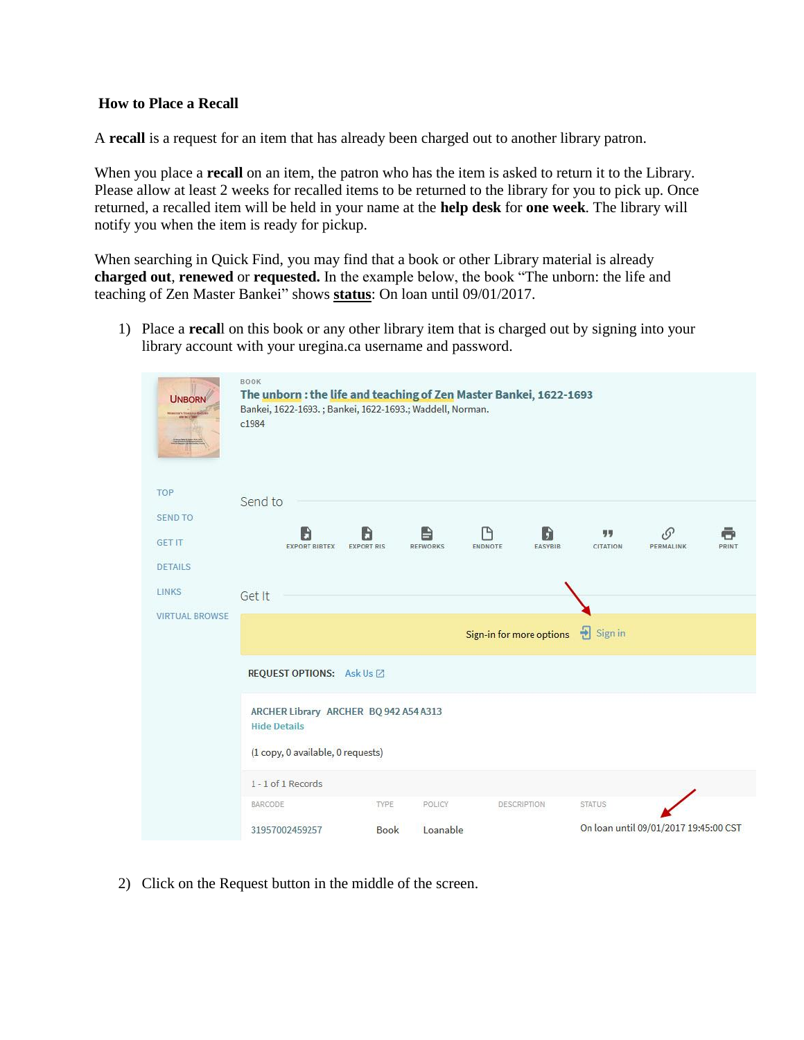## **How to Place a Recall**

A **recall** is a request for an item that has already been charged out to another library patron.

When you place a **recall** on an item, the patron who has the item is asked to return it to the Library. Please allow at least 2 weeks for recalled items to be returned to the library for you to pick up. Once returned, a recalled item will be held in your name at the **help desk** for **one week**. The library will notify you when the item is ready for pickup.

When searching in Quick Find, you may find that a book or other Library material is already **charged out**, **renewed** or **requested.** In the example below, the book "The unborn: the life and teaching of Zen Master Bankei" shows **status**: On loan until 09/01/2017.

1) Place a **recal**l on this book or any other library item that is charged out by signing into your library account with your uregina.ca username and password.

| <b>UNBORN</b><br>WEIGHT A TELEVISION AND | BOOK<br>The unborn: the life and teaching of Zen Master Bankei, 1622-1693<br>Bankei, 1622-1693.; Bankei, 1622-1693.; Waddell, Norman.<br>c1984 |  |  |
|------------------------------------------|------------------------------------------------------------------------------------------------------------------------------------------------|--|--|
| <b>TOP</b>                               | Send to                                                                                                                                        |  |  |
| <b>SEND TO</b>                           | Ρ<br>Đ<br>B<br>ħ<br>G.<br>Ð<br>粤粤                                                                                                              |  |  |
| <b>GET IT</b>                            | <b>EXPORT BIBTEX</b><br><b>EXPORT RIS</b><br>ENDNOTE<br><b>EASYBIB</b><br>CITATION<br>PERMALINK<br>PRINT<br><b>REFWORKS</b>                    |  |  |
| <b>DETAILS</b>                           |                                                                                                                                                |  |  |
| <b>LINKS</b>                             | Get It                                                                                                                                         |  |  |
| <b>VIRTUAL BROWSE</b>                    | 뒨<br>Sign in<br>Sign-in for more options                                                                                                       |  |  |
|                                          | <b>REQUEST OPTIONS:</b> Ask Us ⊠                                                                                                               |  |  |
|                                          | ARCHER Library ARCHER BQ 942 A54 A313<br><b>Hide Details</b>                                                                                   |  |  |
|                                          | (1 copy, 0 available, 0 requests)                                                                                                              |  |  |
|                                          | 1 - 1 of 1 Records                                                                                                                             |  |  |
|                                          | BARCODE<br>TYPE<br><b>STATUS</b><br>POLICY<br>DESCRIPTION                                                                                      |  |  |
|                                          | On loan until 09/01/2017 19:45:00 CST<br>Loanable<br>31957002459257<br>Book                                                                    |  |  |

2) Click on the Request button in the middle of the screen.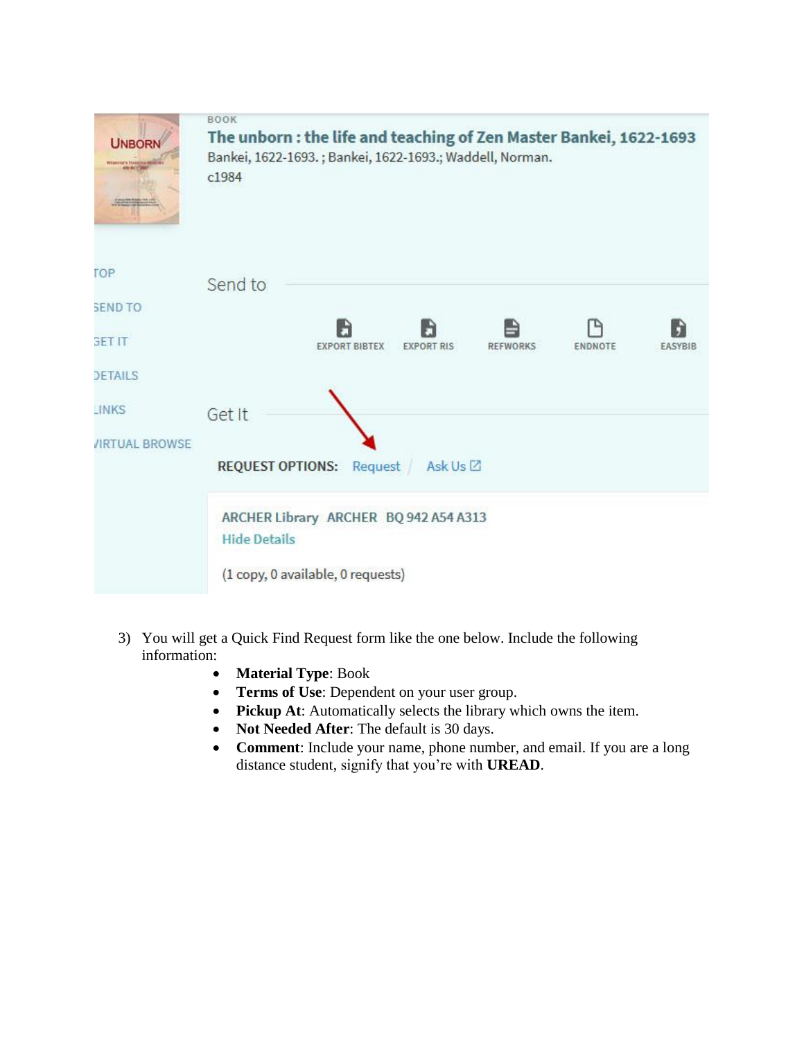

- 3) You will get a Quick Find Request form like the one below. Include the following information:
	- **Material Type**: Book
	- **Terms of Use**: Dependent on your user group.
	- **Pickup At**: Automatically selects the library which owns the item.
	- Not Needed After: The default is 30 days.
	- **Comment**: Include your name, phone number, and email. If you are a long distance student, signify that you're with **UREAD**.